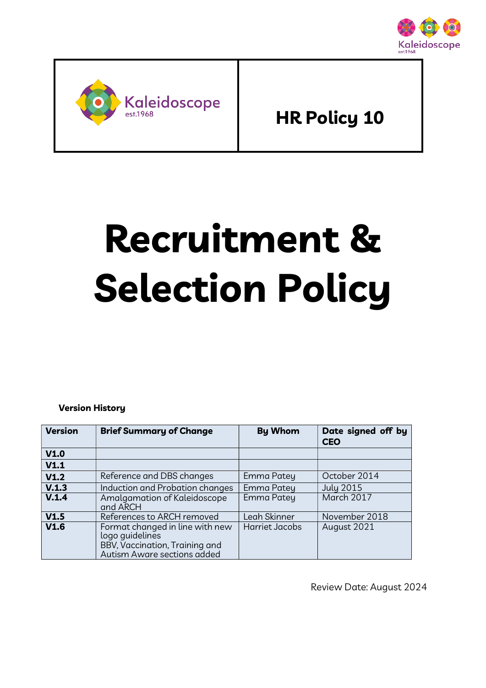



HR Policy 10

# Recruitment & Selection Policy

Version History

| <b>Version</b> | <b>Brief Summary of Change</b>                                                                                      | <b>By Whom</b> | Date signed off by<br><b>CEO</b> |
|----------------|---------------------------------------------------------------------------------------------------------------------|----------------|----------------------------------|
| V1.0           |                                                                                                                     |                |                                  |
| V1.1           |                                                                                                                     |                |                                  |
| V1.2           | Reference and DBS changes                                                                                           | Emma Patey     | October 2014                     |
| V.1.3          | Induction and Probation changes                                                                                     | Emma Patey     | <b>July 2015</b>                 |
| V.1.4          | Amalgamation of Kaleidoscope<br>and ARCH                                                                            | Emma Patey     | March 2017                       |
| V1.5           | References to ARCH removed                                                                                          | Leah Skinner   | November 2018                    |
| V1.6           | Format changed in line with new<br>logo quidelines<br>BBV, Vaccination, Training and<br>Autism Aware sections added | Harriet Jacobs | August 2021                      |

Review Date: August 2024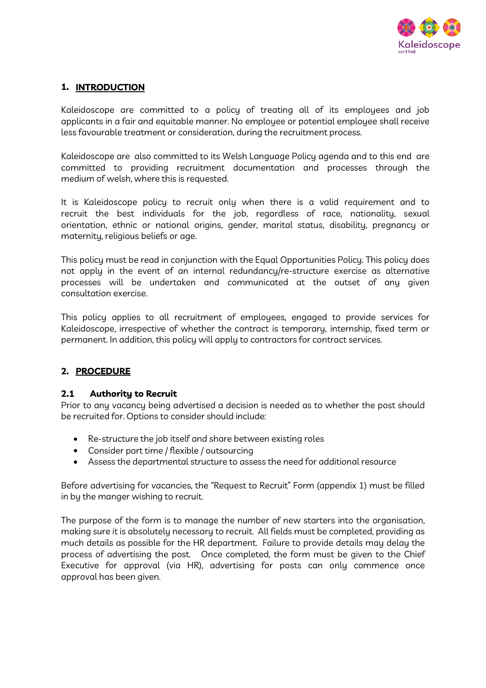

# 1. INTRODUCTION

Kaleidoscope are committed to a policy of treating all of its employees and job applicants in a fair and equitable manner. No employee or potential employee shall receive less favourable treatment or consideration, during the recruitment process.

Kaleidoscope are also committed to its Welsh Language Policy agenda and to this end are committed to providing recruitment documentation and processes through the medium of welsh, where this is requested.

It is Kaleidoscope policy to recruit only when there is a valid requirement and to recruit the best individuals for the job, regardless of race, nationality, sexual orientation, ethnic or national origins, gender, marital status, disability, pregnancy or maternity, religious beliefs or age.

This policy must be read in conjunction with the Equal Opportunities Policy. This policy does not apply in the event of an internal redundancy/re-structure exercise as alternative processes will be undertaken and communicated at the outset of any given consultation exercise.

This policy applies to all recruitment of employees, engaged to provide services for Kaleidoscope, irrespective of whether the contract is temporary, internship, fixed term or permanent. In addition, this policy will apply to contractors for contract services.

## 2. PROCEDURE

#### 2.1 Authority to Recruit

Prior to any vacancy being advertised a decision is needed as to whether the post should be recruited for. Options to consider should include:

- Re-structure the job itself and share between existing roles
- Consider part time / flexible / outsourcing
- Assess the departmental structure to assess the need for additional resource

Before advertising for vacancies, the "Request to Recruit" Form (appendix 1) must be filled in by the manger wishing to recruit.

The purpose of the form is to manage the number of new starters into the organisation, making sure it is absolutely necessary to recruit. All fields must be completed, providing as much details as possible for the HR department. Failure to provide details may delay the process of advertising the post. Once completed, the form must be given to the Chief Executive for approval (via HR), advertising for posts can only commence once approval has been given.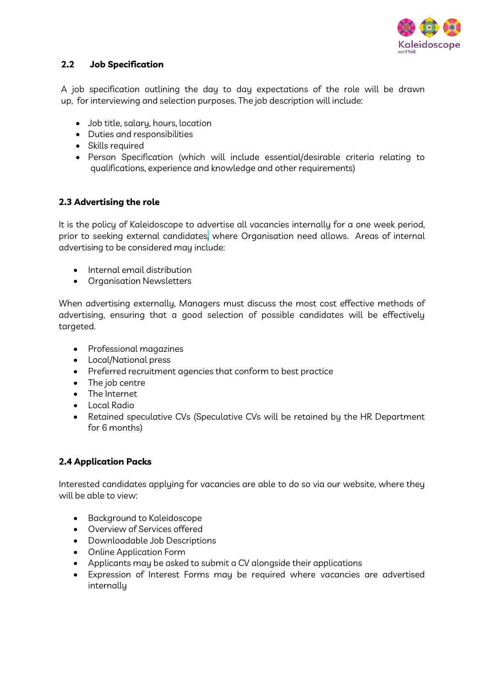

# 2.2 Job Specification

A job specification outlining the day to day expectations of the role will be drawn up, for interviewing and selection purposes. The job description will include:

- Job title, salary, hours, location
- Duties and responsibilities
- Skills required
- Person Specification (which will include essential/desirable criteria relating to qualifications, experience and knowledge and other requirements)

## 2.3 Advertising the role

It is the policy of Kaleidoscope to advertise all vacancies internally for a one week period, prior to seeking external candidates, where Organisation need allows. Areas of internal advertising to be considered may include:

- Internal email distribution
- **•** Organisation Newsletters

When advertising externally, Managers must discuss the most cost effective methods of advertising, ensuring that a good selection of possible candidates will be effectively targeted.

- Professional magazines
- Local/National press
- Preferred recruitment agencies that conform to best practice
- The job centre
- The Internet
- Local Radio
- Retained speculative CVs (Speculative CVs will be retained by the HR Department for 6 months)

## 2.4 Application Packs

Interested candidates applying for vacancies are able to do so via our website, where they will be able to view:

- Background to Kaleidoscope
- Overview of Services offered
- Downloadable Job Descriptions
- Online Application Form
- Applicants may be asked to submit a CV alongside their applications
- Expression of Interest Forms may be required where vacancies are advertised internally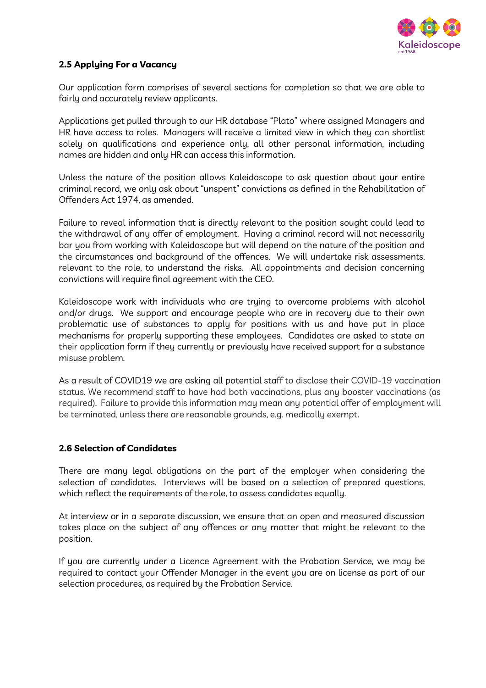

# 2.5 Applying For a Vacancy

Our application form comprises of several sections for completion so that we are able to fairly and accurately review applicants.

Applications get pulled through to our HR database "Plato" where assigned Managers and HR have access to roles. Managers will receive a limited view in which they can shortlist solely on qualifications and experience only, all other personal information, including names are hidden and only HR can access this information.

Unless the nature of the position allows Kaleidoscope to ask question about your entire criminal record, we only ask about "unspent" convictions as defined in the Rehabilitation of Offenders Act 1974, as amended.

Failure to reveal information that is directly relevant to the position sought could lead to the withdrawal of any offer of employment. Having a criminal record will not necessarily bar you from working with Kaleidoscope but will depend on the nature of the position and the circumstances and background of the offences. We will undertake risk assessments, relevant to the role, to understand the risks. All appointments and decision concerning convictions will require final agreement with the CEO.

Kaleidoscope work with individuals who are trying to overcome problems with alcohol and/or drugs. We support and encourage people who are in recovery due to their own problematic use of substances to apply for positions with us and have put in place mechanisms for properly supporting these employees. Candidates are asked to state on their application form if they currently or previously have received support for a substance misuse problem.

As a result of COVID19 we are asking all potential staff to disclose their COVID-19 vaccination status. We recommend staff to have had both vaccinations, plus any booster vaccinations (as required). Failure to provide this information may mean any potential offer of employment will be terminated, unless there are reasonable grounds, e.g. medically exempt.

#### 2.6 Selection of Candidates

There are many legal obligations on the part of the employer when considering the selection of candidates. Interviews will be based on a selection of prepared questions, which reflect the requirements of the role, to assess candidates equally.

At interview or in a separate discussion, we ensure that an open and measured discussion takes place on the subject of any offences or any matter that might be relevant to the position.

If you are currently under a Licence Agreement with the Probation Service, we may be required to contact your Offender Manager in the event you are on license as part of our selection procedures, as required by the Probation Service.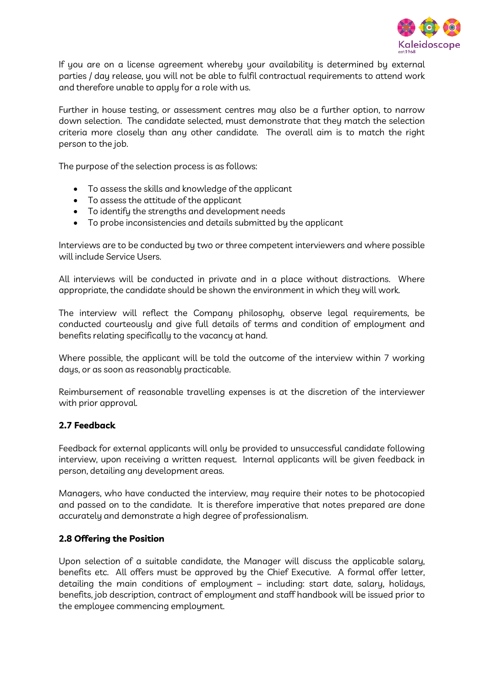

If you are on a license agreement whereby your availability is determined by external parties / day release, you will not be able to fulfil contractual requirements to attend work and therefore unable to apply for a role with us.

Further in house testing, or assessment centres may also be a further option, to narrow down selection. The candidate selected, must demonstrate that they match the selection criteria more closely than any other candidate. The overall aim is to match the right person to the job.

The purpose of the selection process is as follows:

- To assess the skills and knowledge of the applicant
- To assess the attitude of the applicant
- To identify the strengths and development needs
- To probe inconsistencies and details submitted by the applicant

Interviews are to be conducted by two or three competent interviewers and where possible will include Service Users.

All interviews will be conducted in private and in a place without distractions. Where appropriate, the candidate should be shown the environment in which they will work.

The interview will reflect the Company philosophy, observe legal requirements, be conducted courteously and give full details of terms and condition of employment and benefits relating specifically to the vacancy at hand.

Where possible, the applicant will be told the outcome of the interview within 7 working days, or as soon as reasonably practicable.

Reimbursement of reasonable travelling expenses is at the discretion of the interviewer with prior approval.

#### 2.7 Feedback

Feedback for external applicants will only be provided to unsuccessful candidate following interview, upon receiving a written request. Internal applicants will be given feedback in person, detailing any development areas.

Managers, who have conducted the interview, may require their notes to be photocopied and passed on to the candidate. It is therefore imperative that notes prepared are done accurately and demonstrate a high degree of professionalism.

#### 2.8 Offering the Position

Upon selection of a suitable candidate, the Manager will discuss the applicable salary, benefits etc. All offers must be approved by the Chief Executive. A formal offer letter, detailing the main conditions of employment – including: start date, salary, holidays, benefits, job description, contract of employment and staff handbook will be issued prior to the employee commencing employment.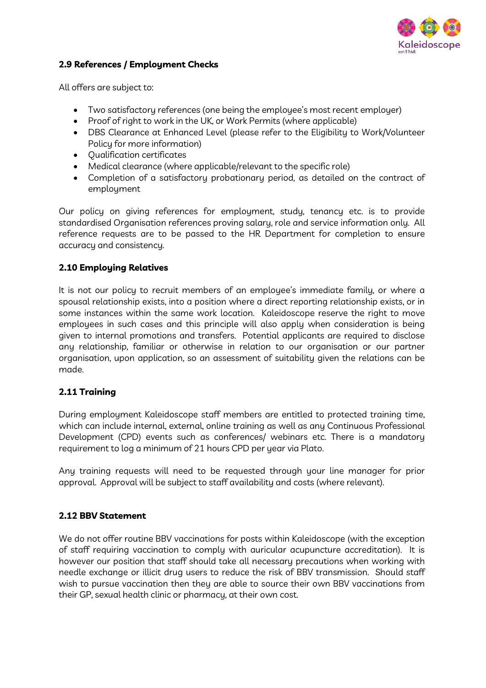

### 2.9 References / Employment Checks

All offers are subject to:

- Two satisfactory references (one being the employee's most recent employer)
- Proof of right to work in the UK, or Work Permits (where applicable)
- DBS Clearance at Enhanced Level (please refer to the Eligibility to Work/Volunteer Policy for more information)
- Qualification certificates
- Medical clearance (where applicable/relevant to the specific role)
- Completion of a satisfactory probationary period, as detailed on the contract of employment

Our policy on giving references for employment, study, tenancy etc. is to provide standardised Organisation references proving salary, role and service information only. All reference requests are to be passed to the HR Department for completion to ensure accuracy and consistency.

## 2.10 Employing Relatives

It is not our policy to recruit members of an employee's immediate family, or where a spousal relationship exists, into a position where a direct reporting relationship exists, or in some instances within the same work location. Kaleidoscope reserve the right to move employees in such cases and this principle will also apply when consideration is being given to internal promotions and transfers. Potential applicants are required to disclose any relationship, familiar or otherwise in relation to our organisation or our partner organisation, upon application, so an assessment of suitability given the relations can be made.

## 2.11 Training

During employment Kaleidoscope staff members are entitled to protected training time, which can include internal, external, online training as well as any Continuous Professional Development (CPD) events such as conferences/ webinars etc. There is a mandatory requirement to log a minimum of 21 hours CPD per year via Plato.

Any training requests will need to be requested through your line manager for prior approval. Approval will be subject to staff availability and costs (where relevant).

## 2.12 BBV Statement

We do not offer routine BBV vaccinations for posts within Kaleidoscope (with the exception of staff requiring vaccination to comply with auricular acupuncture accreditation). It is however our position that staff should take all necessary precautions when working with needle exchange or illicit drug users to reduce the risk of BBV transmission. Should staff wish to pursue vaccination then they are able to source their own BBV vaccinations from their GP, sexual health clinic or pharmacy, at their own cost.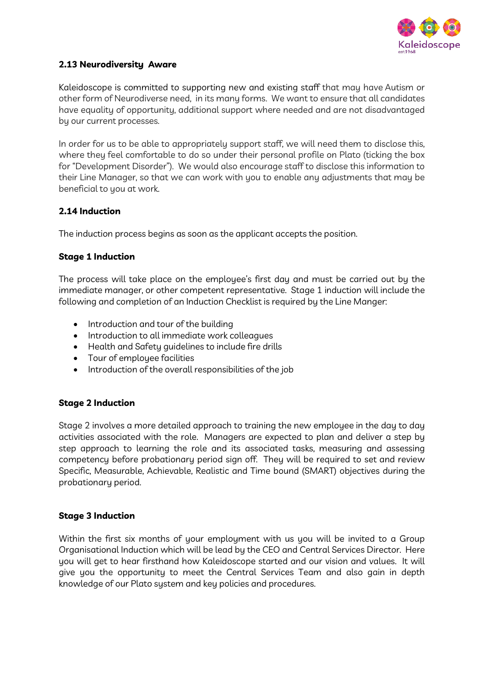

## 2.13 Neurodiversity Aware

Kaleidoscope is committed to supporting new and existing staff that may have Autism or other form of Neurodiverse need, in its many forms. We want to ensure that all candidates have equality of opportunity, additional support where needed and are not disadvantaged by our current processes.

In order for us to be able to appropriately support staff, we will need them to disclose this, where they feel comfortable to do so under their personal profile on Plato (ticking the box for "Development Disorder"). We would also encourage staff to disclose this information to their Line Manager, so that we can work with you to enable any adjustments that may be beneficial to you at work.

#### 2.14 Induction

The induction process begins as soon as the applicant accepts the position.

#### Stage 1 Induction

The process will take place on the employee's first day and must be carried out by the immediate manager, or other competent representative. Stage 1 induction will include the following and completion of an Induction Checklist is required by the Line Manger:

- Introduction and tour of the building
- Introduction to all immediate work colleagues
- Health and Safety guidelines to include fire drills
- Tour of employee facilities
- Introduction of the overall responsibilities of the job

#### Stage 2 Induction

Stage 2 involves a more detailed approach to training the new employee in the day to day activities associated with the role. Managers are expected to plan and deliver a step by step approach to learning the role and its associated tasks, measuring and assessing competency before probationary period sign off. They will be required to set and review Specific, Measurable, Achievable, Realistic and Time bound (SMART) objectives during the probationary period.

#### Stage 3 Induction

Within the first six months of your employment with us you will be invited to a Group Organisational Induction which will be lead by the CEO and Central Services Director. Here you will get to hear firsthand how Kaleidoscope started and our vision and values. It will give you the opportunity to meet the Central Services Team and also gain in depth knowledge of our Plato system and key policies and procedures.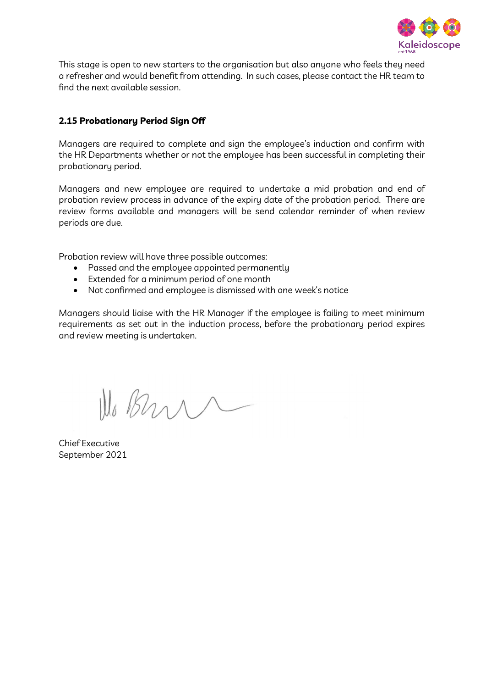

This stage is open to new starters to the organisation but also anyone who feels they need a refresher and would benefit from attending. In such cases, please contact the HR team to find the next available session.

### 2.15 Probationary Period Sign Off

Managers are required to complete and sign the employee's induction and confirm with the HR Departments whether or not the employee has been successful in completing their probationary period.

Managers and new employee are required to undertake a mid probation and end of probation review process in advance of the expiry date of the probation period. There are review forms available and managers will be send calendar reminder of when review periods are due.

Probation review will have three possible outcomes:

- Passed and the employee appointed permanently
- Extended for a minimum period of one month
- Not confirmed and employee is dismissed with one week's notice

Managers should liaise with the HR Manager if the employee is failing to meet minimum requirements as set out in the induction process, before the probationary period expires and review meeting is undertaken.

We Bran

Chief Executive September 2021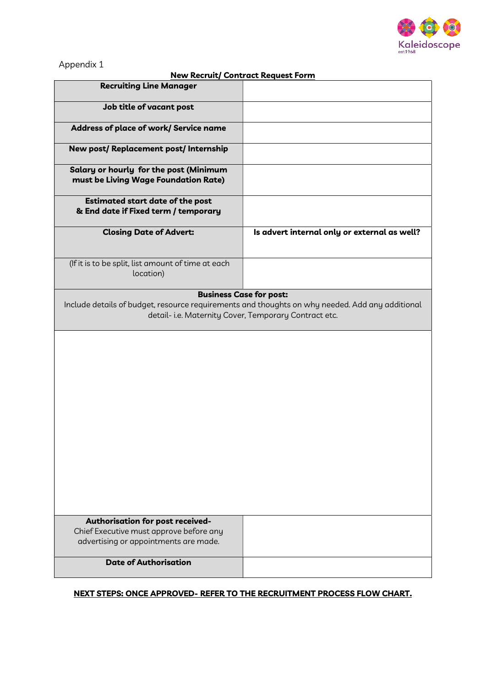

#### Appendix 1

#### New Recruit/ Contract Request Form

| <b>Recruiting Line Manager</b>                                                                                                                           |                                              |  |  |
|----------------------------------------------------------------------------------------------------------------------------------------------------------|----------------------------------------------|--|--|
| Job title of vacant post                                                                                                                                 |                                              |  |  |
| Address of place of work/ Service name                                                                                                                   |                                              |  |  |
| New post/ Replacement post/ Internship                                                                                                                   |                                              |  |  |
| Salary or hourly for the post (Minimum<br>must be Living Wage Foundation Rate)                                                                           |                                              |  |  |
| <b>Estimated start date of the post</b><br>& End date if Fixed term / temporary                                                                          |                                              |  |  |
| <b>Closing Date of Advert:</b>                                                                                                                           | Is advert internal only or external as well? |  |  |
| (If it is to be split, list amount of time at each<br>location)                                                                                          |                                              |  |  |
|                                                                                                                                                          | <b>Business Case for post:</b>               |  |  |
| Include details of budget, resource requirements and thoughts on why needed. Add any additional<br>detail- i.e. Maternity Cover, Temporary Contract etc. |                                              |  |  |
|                                                                                                                                                          |                                              |  |  |
|                                                                                                                                                          |                                              |  |  |
|                                                                                                                                                          |                                              |  |  |
|                                                                                                                                                          |                                              |  |  |
|                                                                                                                                                          |                                              |  |  |
|                                                                                                                                                          |                                              |  |  |
|                                                                                                                                                          |                                              |  |  |
| Authorisation for post received-                                                                                                                         |                                              |  |  |
| Chief Executive must approve before any<br>advertising or appointments are made.                                                                         |                                              |  |  |
| <b>Date of Authorisation</b>                                                                                                                             |                                              |  |  |

#### NEXT STEPS: ONCE APPROVED- REFER TO THE RECRUITMENT PROCESS FLOW CHART.